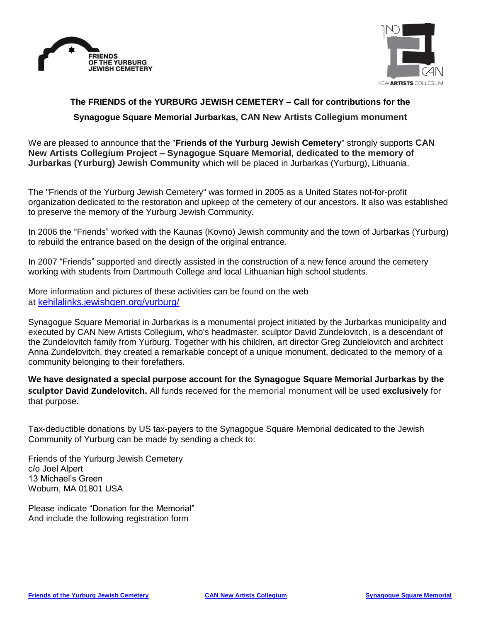



## **The FRIENDS of the YURBURG JEWISH CEMETERY – Call for contributions for the Synagogue Square Memorial Jurbarkas, CAN New Artists Collegium monument**

We are pleased to announce that the "**Friends of the Yurburg Jewish Cemetery**" strongly supports **CAN New Artists Collegium Project – Synagogue Square Memorial, dedicated to the memory of Jurbarkas (Yurburg) Jewish Community** which will be placed in Jurbarkas (Yurburg), Lithuania.

The "Friends of the Yurburg Jewish Cemetery" was formed in 2005 as a United States not-for-profit organization dedicated to the restoration and upkeep of the cemetery of our ancestors. It also was established to preserve the memory of the Yurburg Jewish Community.

In 2006 the "Friends" worked with the Kaunas (Kovno) Jewish community and the town of Jurbarkas (Yurburg) to rebuild the entrance based on the design of the original entrance.

In 2007 "Friends" supported and directly assisted in the construction of a new fence around the cemetery working with students from Dartmouth College and local Lithuanian high school students.

More information and pictures of these activities can be found on the web at kehilalinks.jewishgen.org/vurburg/

Synagogue Square Memorial in Jurbarkas is a monumental project initiated by the Jurbarkas municipality and executed by CAN New Artists Collegium, who's headmaster, sculptor David Zundelovitch, is a descendant of the Zundelovitch family from Yurburg. Together with his children, art director Greg Zundelovitch and architect Anna Zundelovitch, they created a remarkable concept of a unique monument, dedicated to the memory of a community belonging to their forefathers.

**We have designated a special purpose account for the Synagogue Square Memorial Jurbarkas by the sculptor David Zundelovitch.** All funds received for the memorial monument will be used **exclusively** for that purpose**.** 

Tax-deductible donations by US tax-payers to the Synagogue Square Memorial dedicated to the Jewish Community of Yurburg can be made by sending a check to:

Friends of the Yurburg Jewish Cemetery c/o Joel Alpert 13 Michael's Green Woburn, MA 01801 USA

Please indicate "Donation for the Memorial" And include the following registration form